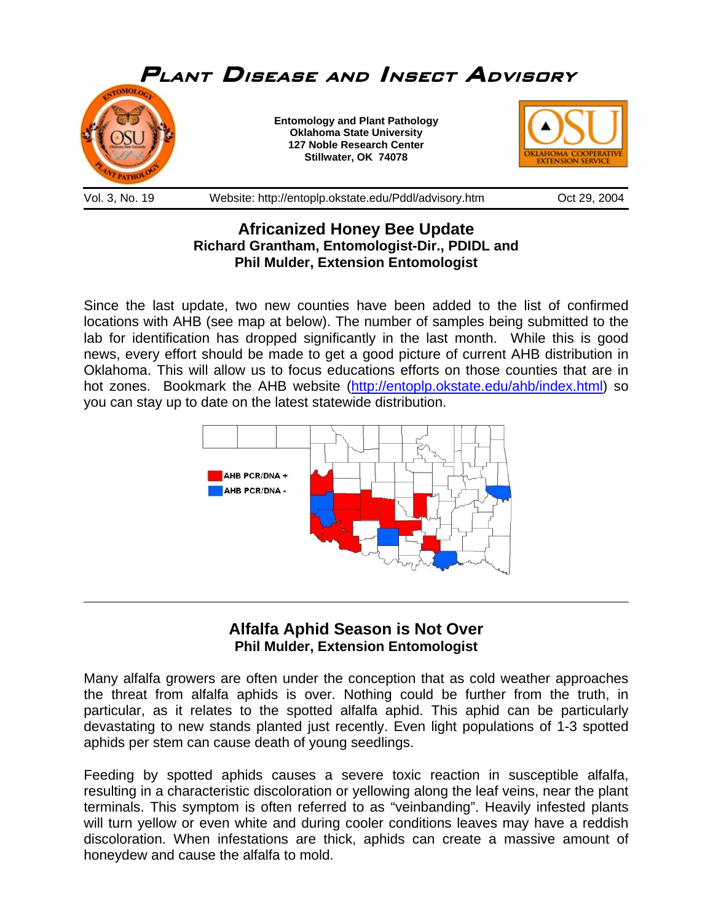

## **Africanized Honey Bee Update Richard Grantham, Entomologist-Dir., PDIDL and Phil Mulder, Extension Entomologist**

Since the last update, two new counties have been added to the list of confirmed locations with AHB (see map at below). The number of samples being submitted to the lab for identification has dropped significantly in the last month. While this is good news, every effort should be made to get a good picture of current AHB distribution in Oklahoma. This will allow us to focus educations efforts on those counties that are in hot zones. Bookmark the AHB website ([http://entoplp.okstate.edu/ahb/index.html\)](http://entoplp.okstate.edu/ahb/index.html) so you can stay up to date on the latest statewide distribution.



## **Alfalfa Aphid Season is Not Over Phil Mulder, Extension Entomologist**

 $\overline{a}$ 

Many alfalfa growers are often under the conception that as cold weather approaches the threat from alfalfa aphids is over. Nothing could be further from the truth, in particular, as it relates to the spotted alfalfa aphid. This aphid can be particularly devastating to new stands planted just recently. Even light populations of 1-3 spotted aphids per stem can cause death of young seedlings.

Feeding by spotted aphids causes a severe toxic reaction in susceptible alfalfa, resulting in a characteristic discoloration or yellowing along the leaf veins, near the plant terminals. This symptom is often referred to as "veinbanding". Heavily infested plants will turn yellow or even white and during cooler conditions leaves may have a reddish discoloration. When infestations are thick, aphids can create a massive amount of honeydew and cause the alfalfa to mold.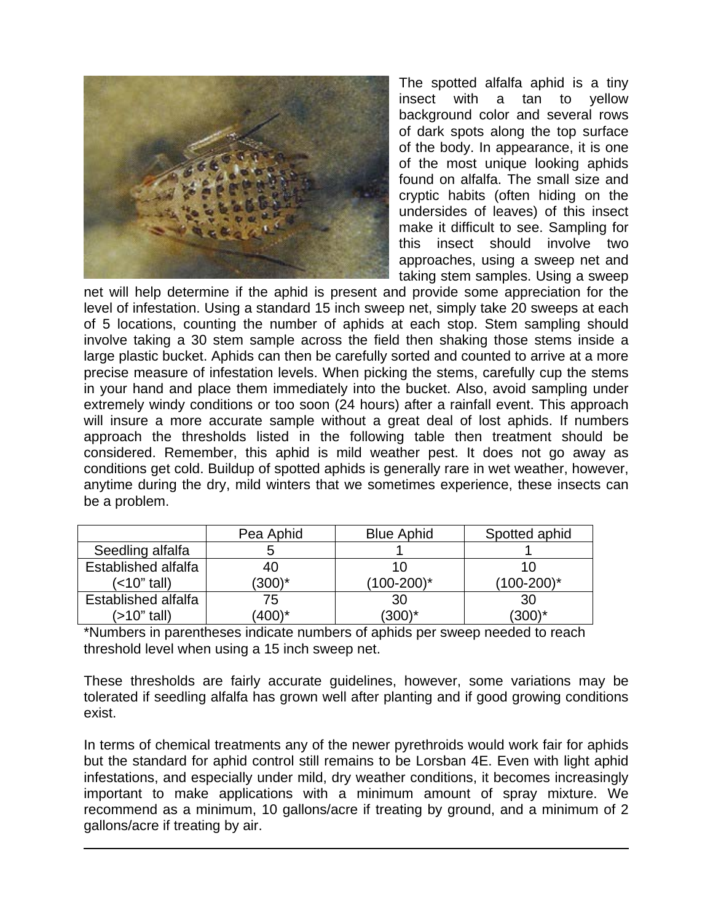

 $\overline{a}$ 

The spotted alfalfa aphid is a tiny insect with a tan to yellow background color and several rows of dark spots along the top surface of the body. In appearance, it is one of the most unique looking aphids found on alfalfa. The small size and cryptic habits (often hiding on the undersides of leaves) of this insect make it difficult to see. Sampling for this insect should involve two approaches, using a sweep net and taking stem samples. Using a sweep

net will help determine if the aphid is present and provide some appreciation for the level of infestation. Using a standard 15 inch sweep net, simply take 20 sweeps at each of 5 locations, counting the number of aphids at each stop. Stem sampling should involve taking a 30 stem sample across the field then shaking those stems inside a large plastic bucket. Aphids can then be carefully sorted and counted to arrive at a more precise measure of infestation levels. When picking the stems, carefully cup the stems in your hand and place them immediately into the bucket. Also, avoid sampling under extremely windy conditions or too soon (24 hours) after a rainfall event. This approach will insure a more accurate sample without a great deal of lost aphids. If numbers approach the thresholds listed in the following table then treatment should be considered. Remember, this aphid is mild weather pest. It does not go away as conditions get cold. Buildup of spotted aphids is generally rare in wet weather, however, anytime during the dry, mild winters that we sometimes experience, these insects can be a problem.

|                     | Pea Aphid | <b>Blue Aphid</b> | Spotted aphid   |
|---------------------|-----------|-------------------|-----------------|
| Seedling alfalfa    |           |                   |                 |
| Established alfalfa | 40        | 10                |                 |
| (<10" tall)         | $(300)^*$ | $(100-200)^*$     | $(100-200)^{*}$ |
| Established alfalfa | 75        | 30                | 30              |
| (>10" tall)         | $(400)^*$ | $(300)^*$         | $(300)^*$       |

\*Numbers in parentheses indicate numbers of aphids per sweep needed to reach threshold level when using a 15 inch sweep net.

These thresholds are fairly accurate guidelines, however, some variations may be tolerated if seedling alfalfa has grown well after planting and if good growing conditions exist.

In terms of chemical treatments any of the newer pyrethroids would work fair for aphids but the standard for aphid control still remains to be Lorsban 4E. Even with light aphid infestations, and especially under mild, dry weather conditions, it becomes increasingly important to make applications with a minimum amount of spray mixture. We recommend as a minimum, 10 gallons/acre if treating by ground, and a minimum of 2 gallons/acre if treating by air.